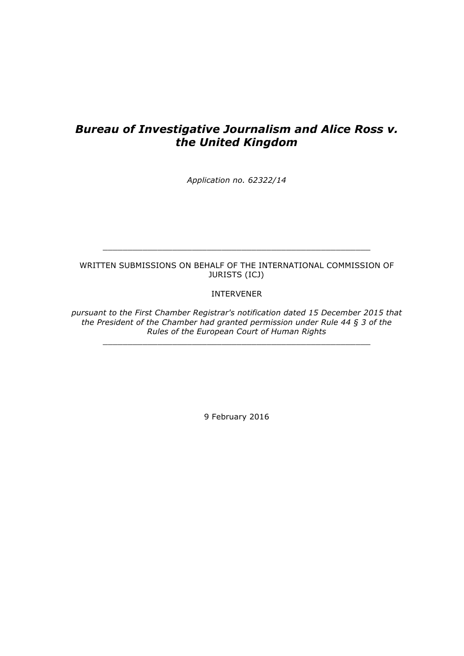# *Bureau of Investigative Journalism and Alice Ross v. the United Kingdom*

*Application no. 62322/14*

# WRITTEN SUBMISSIONS ON BEHALF OF THE INTERNATIONAL COMMISSION OF JURISTS (ICJ)

\_\_\_\_\_\_\_\_\_\_\_\_\_\_\_\_\_\_\_\_\_\_\_\_\_\_\_\_\_\_\_\_\_\_\_\_\_\_\_\_\_\_\_\_\_\_\_\_\_\_\_\_\_\_

# INTERVENER

*pursuant to the First Chamber Registrar's notification dated 15 December 2015 that the President of the Chamber had granted permission under Rule 44 § 3 of the Rules of the European Court of Human Rights*

\_\_\_\_\_\_\_\_\_\_\_\_\_\_\_\_\_\_\_\_\_\_\_\_\_\_\_\_\_\_\_\_\_\_\_\_\_\_\_\_\_\_\_\_\_\_\_\_\_\_\_\_\_\_

9 February 2016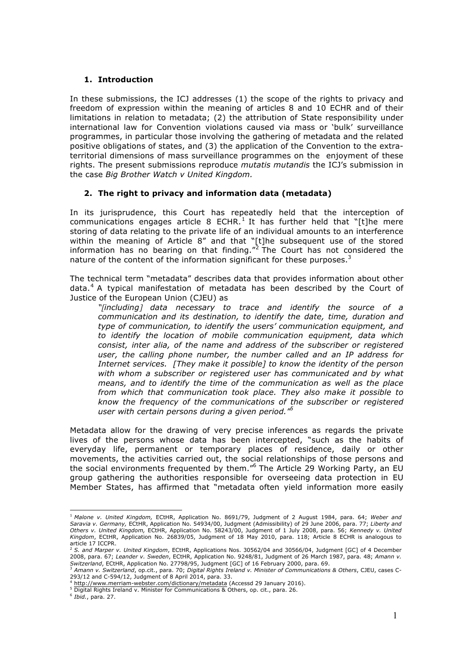# **1. Introduction**

In these submissions, the ICJ addresses (1) the scope of the rights to privacy and freedom of expression within the meaning of articles 8 and 10 ECHR and of their limitations in relation to metadata; (2) the attribution of State responsibility under international law for Convention violations caused via mass or 'bulk' surveillance programmes, in particular those involving the gathering of metadata and the related positive obligations of states, and (3) the application of the Convention to the extraterritorial dimensions of mass surveillance programmes on the enjoyment of these rights. The present submissions reproduce *mutatis mutandis* the ICJ's submission in the case *Big Brother Watch v United Kingdom.*

# **2. The right to privacy and information data (metadata)**

In its jurisprudence, this Court has repeatedly held that the interception of communications engages article 8 ECHR.<sup>1</sup> It has further held that "[t]he mere storing of data relating to the private life of an individual amounts to an interference within the meaning of Article 8" and that "[t]he subsequent use of the stored information has no bearing on that finding."<sup>2</sup> The Court has not considered the nature of the content of the information significant for these purposes. $3$ 

The technical term "metadata" describes data that provides information about other data.<sup>4</sup> A typical manifestation of metadata has been described by the Court of Justice of the European Union (CJEU) as

*"*[*including*] *data necessary to trace and identify the source of a communication and its destination, to identify the date, time, duration and type of communication, to identify the users' communication equipment, and to identify the location of mobile communication equipment, data which consist, inter alia, of the name and address of the subscriber or registered user, the calling phone number, the number called and an IP address for Internet services. [They make it possible] to know the identity of the person with whom a subscriber or registered user has communicated and by what means, and to identify the time of the communication as well as the place from which that communication took place. They also make it possible to know the frequency of the communications of the subscriber or registered user with certain persons during a given period."<sup>5</sup>*

Metadata allow for the drawing of very precise inferences as regards the private lives of the persons whose data has been intercepted, "such as the habits of everyday life, permanent or temporary places of residence, daily or other movements, the activities carried out, the social relationships of those persons and the social environments frequented by them."6 The Article 29 Working Party, an EU group gathering the authorities responsible for overseeing data protection in EU Member States, has affirmed that "metadata often yield information more easily

 <sup>1</sup> *Malone v. United Kingdom,* ECtHR, Application No. 8691/79, Judgment of 2 August 1984, para. 64; *Weber and Saravia v. Germany,* ECtHR, Application No. 54934/00, Judgment (Admissibility) of 29 June 2006, para. 77; *Liberty and Others v. United Kingdom,* ECtHR, Application No. 58243/00, Judgment of 1 July 2008, para. 56; *Kennedy v. United Kingdom*, ECtHR, Application No. 26839/05, Judgment of 18 May 2010, para. 118; Article 8 ECHR is analogous to article 17 ICCPR. <sup>2</sup> *S. and Marper v. United Kingdom*, ECtHR, Applications Nos. 30562/04 and 30566/04, Judgment [GC] of 4 December

<sup>2008,</sup> para. 67; *Leander v. Sweden*, ECtHR, Application No. 9248/81, Judgment of 26 March 1987, para. 48; *Amann v.* Switzerland, ECtHR, Application No. 27798/95, Judgment [GC] of 16 February 2000, para. 69.<br><sup>3</sup> Amann v. Switzerland, op.cit., para. 70; Digital Rights Ireland v. Minister of Communications & Others, CJEU, cases C-

<sup>293/12</sup> and C-594/12, Judgment of 8 April 2014, para. 33.

<sup>4</sup> http://www.merriam-webster.com/dictionary/metadata (Accessd 29 January 2016).

<sup>5</sup> Digital Rights Ireland v. Minister for Communications & Others, op. cit., para. 26. 6 *Ibid.*, para. 27.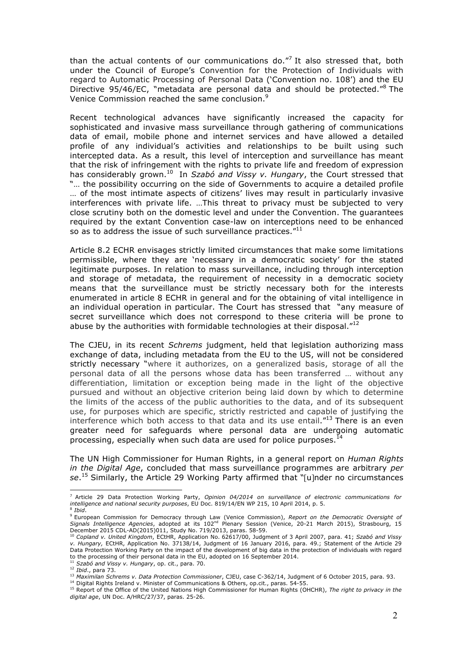than the actual contents of our communications do. $77$  It also stressed that, both under the Council of Europe's Convention for the Protection of Individuals with regard to Automatic Processing of Personal Data ('Convention no. 108') and the EU Directive 95/46/EC, "metadata are personal data and should be protected."<sup>8</sup> The Venice Commission reached the same conclusion.9

Recent technological advances have significantly increased the capacity for sophisticated and invasive mass surveillance through gathering of communications data of email, mobile phone and internet services and have allowed a detailed profile of any individual's activities and relationships to be built using such intercepted data. As a result, this level of interception and surveillance has meant that the risk of infringement with the rights to private life and freedom of expression has considerably grown. <sup>10</sup> In *Szabó and Vissy v. Hungary*, the Court stressed that "… the possibility occurring on the side of Governments to acquire a detailed profile … of the most intimate aspects of citizens' lives may result in particularly invasive interferences with private life. …This threat to privacy must be subjected to very close scrutiny both on the domestic level and under the Convention. The guarantees required by the extant Convention case-law on interceptions need to be enhanced so as to address the issue of such surveillance practices."<sup>11</sup>

Article 8.2 ECHR envisages strictly limited circumstances that make some limitations permissible, where they are 'necessary in a democratic society' for the stated legitimate purposes. In relation to mass surveillance, including through interception and storage of metadata, the requirement of necessity in a democratic society means that the surveillance must be strictly necessary both for the interests enumerated in article 8 ECHR in general and for the obtaining of vital intelligence in an individual operation in particular. The Court has stressed that "any measure of secret surveillance which does not correspond to these criteria will be prone to abuse by the authorities with formidable technologies at their disposal."<sup>12</sup>

The CJEU, in its recent *Schrems* judgment, held that legislation authorizing mass exchange of data, including metadata from the EU to the US, will not be considered strictly necessary "where it authorizes, on a generalized basis, storage of all the personal data of all the persons whose data has been transferred … without any differentiation, limitation or exception being made in the light of the objective pursued and without an objective criterion being laid down by which to determine the limits of the access of the public authorities to the data, and of its subsequent use, for purposes which are specific, strictly restricted and capable of justifying the interference which both access to that data and its use entail. $^{\prime\prime}$ 13 There is an even greater need for safeguards where personal data are undergoing automatic processing, especially when such data are used for police purposes.<sup>14</sup>

The UN High Commissioner for Human Rights, in a general report on *Human Rights in the Digital Age*, concluded that mass surveillance programmes are arbitrary *per se*. <sup>15</sup> Similarly, the Article 29 Working Party affirmed that "[u]nder no circumstances

 <sup>7</sup> Article 29 Data Protection Working Party, *Opinion 04/2014 on surveillance of electronic communications for intelligence and national security purposes*, EU Doc. 819/14/EN WP 215, 10 April 2014, p. 5. <sup>8</sup> *Ibid*.

<sup>9</sup> European Commission for Democracy through Law (Venice Commission), *Report on the Democratic Oversight of Signals Intelligence Agencies*, adopted at its 102nd Plenary Session (Venice, 20-21 March 2015), Strasbourg, 15 December 2015 CDL-AD(2015)011, Study No. 719/2013, paras. 58-59.

<sup>10</sup> *Copland v. United Kingdom*, ECtHR, Application No. 62617/00, Judgment of 3 April 2007, para. 41; *Szabó and Vissy v. Hungary,* ECtHR, Application No. 37138/14, Judgment of 16 January 2016, para. 49.; Statement of the Article 29 Data Protection Working Party on the impact of the development of big data in the protection of individuals with regard to the processing of their personal data in the EU, adopted on 16 September 2014.

<sup>11</sup> *Szabó and Vissy v. Hungary*, op. cit., para. 70.

<sup>12</sup> *Judd., para 73.*<br>1<sup>2</sup> *Ibid., para 73.*<br><sup>13</sup> Maximilan Schrems v. Data Protection Commissioner, CJEU, case C-362/14, Judgment of 6 October 2015, para. 93.

<sup>14</sup> Digital Rights Ireland v. Minister of Communications & Others, op.cit., paras. 54-55.<br><sup>15</sup> Report of the Office of the United Nations High Commissioner for Human Rights (OHCHR), The right to privacy in the *digital age*, UN Doc. A/HRC/27/37, paras. 25-26.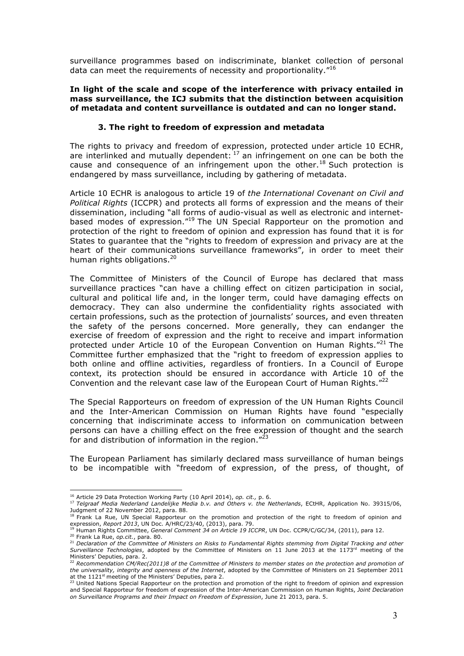surveillance programmes based on indiscriminate, blanket collection of personal data can meet the requirements of necessity and proportionality."16

#### **In light of the scale and scope of the interference with privacy entailed in mass surveillance, the ICJ submits that the distinction between acquisition of metadata and content surveillance is outdated and can no longer stand.**

## **3. The right to freedom of expression and metadata**

The rights to privacy and freedom of expression, protected under article 10 ECHR, are interlinked and mutually dependent:  $17$  an infringement on one can be both the cause and consequence of an infringement upon the other.<sup>18</sup> Such protection is endangered by mass surveillance, including by gathering of metadata.

Article 10 ECHR is analogous to article 19 of *the International Covenant on Civil and Political Rights* (ICCPR) and protects all forms of expression and the means of their dissemination, including "all forms of audio-visual as well as electronic and internetbased modes of expression."<sup>19</sup> The UN Special Rapporteur on the promotion and protection of the right to freedom of opinion and expression has found that it is for States to guarantee that the "rights to freedom of expression and privacy are at the heart of their communications surveillance frameworks", in order to meet their human rights obligations.<sup>20</sup>

The Committee of Ministers of the Council of Europe has declared that mass surveillance practices "can have a chilling effect on citizen participation in social, cultural and political life and, in the longer term, could have damaging effects on democracy. They can also undermine the confidentiality rights associated with certain professions, such as the protection of journalists' sources, and even threaten the safety of the persons concerned. More generally, they can endanger the exercise of freedom of expression and the right to receive and impart information protected under Article 10 of the European Convention on Human Rights."<sup>21</sup> The Committee further emphasized that the "right to freedom of expression applies to both online and offline activities, regardless of frontiers. In a Council of Europe context, its protection should be ensured in accordance with Article 10 of the Convention and the relevant case law of the European Court of Human Rights."<sup>22</sup>

The Special Rapporteurs on freedom of expression of the UN Human Rights Council and the Inter-American Commission on Human Rights have found "especially concerning that indiscriminate access to information on communication between persons can have a chilling effect on the free expression of thought and the search for and distribution of information in the region. $123$ 

The European Parliament has similarly declared mass surveillance of human beings to be incompatible with "freedom of expression, of the press, of thought, of

 <sup>16</sup> Article 29 Data Protection Working Party (10 April 2014), *op. cit.,* p. 6.

<sup>17</sup> *Telgraaf Media Nederland Landelijke Media b.v. and Others v. the Netherlands*, ECtHR, Application No. 39315/06, Judgment of 22 November 2012, para. 88.

<sup>&</sup>lt;sup>18</sup> Frank La Rue, UN Special Rapporteur on the promotion and protection of the right to freedom of opinion and

expression, Report 2013, UN Doc. A/HRC/23/40, (2013), para. 79.<br><sup>19</sup> Human Rights Committee, *General Comment 34 on Article 19 ICCPR*, UN Doc. CCPR/C/GC/34, (2011), para 12.<br><sup>20</sup> Frank La Rue, op.cit., para. 80.<br><sup>21</sup> Decla

*Surveillance Technologies*, adopted by the Committee of Ministers on 11 June 2013 at the 1173rd meeting of the

Ministers' Deputies, para. 2. <sup>22</sup> *Recommendation CM/Rec(2011)8 of the Committee of Ministers to member states on the protection and promotion of the universality, integrity and openness of the Internet*, adopted by the Committee of Ministers on 21 September 2011 at the 1121<sup>st</sup> meeting of the Ministers' Deputies, para 2.

 $^{23}$  United Nations Special Rapporteur on the protection and promotion of the right to freedom of opinion and expression and Special Rapporteur for freedom of expression of the Inter-American Commission on Human Rights, *Joint Declaration on Surveillance Programs and their Impact on Freedom of Expression*, June 21 2013, para. 5.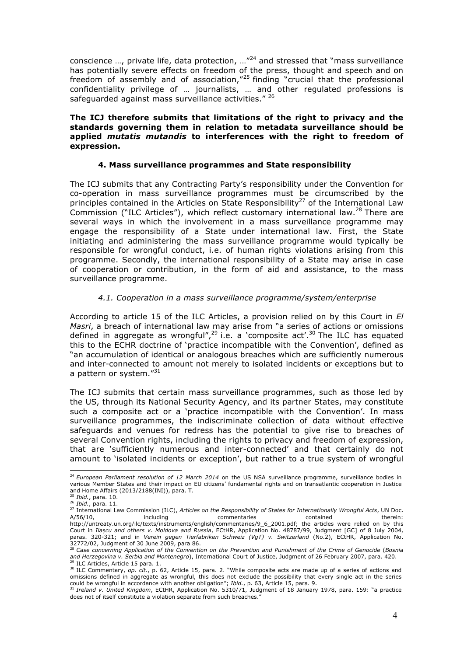conscience  $...,$  private life, data protection,  $...$ <sup> $24$ </sup> and stressed that "mass surveillance has potentially severe effects on freedom of the press, thought and speech and on freedom of assembly and of association,"<sup>25</sup> finding "crucial that the professional confidentiality privilege of … journalists, … and other regulated professions is safeguarded against mass surveillance activities." 26

### **The ICJ therefore submits that limitations of the right to privacy and the standards governing them in relation to metadata surveillance should be applied** *mutatis mutandis* **to interferences with the right to freedom of expression.**

#### **4. Mass surveillance programmes and State responsibility**

The ICJ submits that any Contracting Party's responsibility under the Convention for co-operation in mass surveillance programmes must be circumscribed by the principles contained in the Articles on State Responsibility<sup>27</sup> of the International Law Commission ("ILC Articles"), which reflect customary international law.<sup>28</sup> There are several ways in which the involvement in a mass surveillance programme may engage the responsibility of a State under international law. First, the State initiating and administering the mass surveillance programme would typically be responsible for wrongful conduct, i.e. of human rights violations arising from this programme. Secondly, the international responsibility of a State may arise in case of cooperation or contribution, in the form of aid and assistance, to the mass surveillance programme.

#### *4.1. Cooperation in a mass surveillance programme/system/enterprise*

According to article 15 of the ILC Articles, a provision relied on by this Court in *El Masri*, a breach of international law may arise from "a series of actions or omissions defined in aggregate as wrongful",<sup>29</sup> i.e. a `composite act'.<sup>30</sup> The ILC has equated this to the ECHR doctrine of 'practice incompatible with the Convention', defined as "an accumulation of identical or analogous breaches which are sufficiently numerous and inter-connected to amount not merely to isolated incidents or exceptions but to a pattern or system."31

The ICJ submits that certain mass surveillance programmes, such as those led by the US, through its National Security Agency, and its partner States, may constitute such a composite act or a 'practice incompatible with the Convention'. In mass surveillance programmes, the indiscriminate collection of data without effective safeguards and venues for redress has the potential to give rise to breaches of several Convention rights, including the rights to privacy and freedom of expression, that are 'sufficiently numerous and inter-connected' and that certainly do not amount to 'isolated incidents or exception', but rather to a true system of wrongful

 <sup>24</sup> *European Parliament resolution of 12 March 2014* on the US NSA surveillance programme, surveillance bodies in various Member States and their impact on EU citizens' fundamental rights and on transatlantic cooperation in Justice and Home Affairs ( $2013/2188$ (INI)), para. T.<br> $^{25}$  Thid many 10.

<sup>25</sup> *Ibid.*, para. 10.

<sup>26</sup> *Ibid.*, para. 11.

<sup>27</sup> International Law Commission (ILC), *Articles on the Responsibility of States for Internationally Wrongful Acts*, UN Doc. A/56/10, including commentaries contained therein: http://untreaty.un.org/ilc/texts/instruments/english/commentaries/9\_6\_2001.pdf; the articles were relied on by this Court in *Ila*ș*cu and others v. Moldova and Russia*, ECtHR, Application No. 48787/99, Judgment [GC] of 8 July 2004, paras. 320-321; and in *Verein gegen Tierfabriken Schweiz (VgT) v. Switzerland* (No.2), ECtHR, Application No. 32772/02, Judgment of 30 June 2009, para 86. 28 *Case concerning Application of the Convention on the Prevention and Punishment of the Crime of Genocide* (*Bosnia* 

*and Herzegovina v. Serbia and Montenegro*), International Court of Justice, Judgment of 26 February 2007, para. 420. ILC Articles, Article 15 para. 1.

<sup>&</sup>lt;sup>30</sup> ILC Commentary, *op. cit.*, p. 62, Article 15, para. 2. "While composite acts are made up of a series of actions and omissions defined in aggregate as wrongful, this does not exclude the possibility that every single act in the series could be wrongful in accordance with another obligation"; *Ibid.*, p. 63, Article 15, para. 9.<br><sup>31</sup> I*reland v. United Kingdom*, ECtHR, Application No. 5310/71, Judgment of 18 January 1978, para. 159: "a practice

does not of itself constitute a violation separate from such breaches."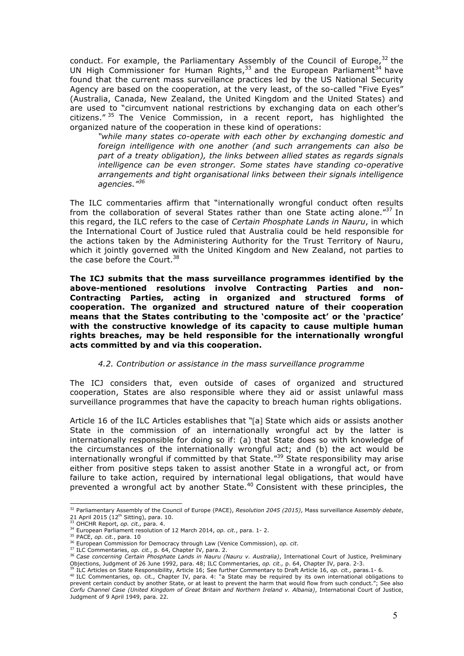conduct. For example, the Parliamentary Assembly of the Council of Europe,  $32$  the UN High Commissioner for Human Rights, $33$  and the European Parliament $34$  have found that the current mass surveillance practices led by the US National Security Agency are based on the cooperation, at the very least, of the so-called "Five Eyes" (Australia, Canada, New Zealand, the United Kingdom and the United States) and are used to "circumvent national restrictions by exchanging data on each other's citizens." <sup>35</sup> The Venice Commission, in a recent report, has highlighted the organized nature of the cooperation in these kind of operations:

*"while many states co-operate with each other by exchanging domestic and foreign intelligence with one another (and such arrangements can also be part of a treaty obligation), the links between allied states as regards signals intelligence can be even stronger. Some states have standing co-operative arrangements and tight organisational links between their signals intelligence agencies."<sup>36</sup>*

The ILC commentaries affirm that "internationally wrongful conduct often results from the collaboration of several States rather than one State acting alone."37 In this regard, the ILC refers to the case of *Certain Phosphate Lands in Nauru*, in which the International Court of Justice ruled that Australia could be held responsible for the actions taken by the Administering Authority for the Trust Territory of Nauru, which it jointly governed with the United Kingdom and New Zealand, not parties to the case before the Court.<sup>38</sup>

**The ICJ submits that the mass surveillance programmes identified by the above-mentioned resolutions involve Contracting Parties and non-Contracting Parties, acting in organized and structured forms of cooperation. The organized and structured nature of their cooperation means that the States contributing to the 'composite act' or the 'practice' with the constructive knowledge of its capacity to cause multiple human rights breaches, may be held responsible for the internationally wrongful acts committed by and via this cooperation.**

#### *4.2. Contribution or assistance in the mass surveillance programme*

The ICJ considers that, even outside of cases of organized and structured cooperation, States are also responsible where they aid or assist unlawful mass surveillance programmes that have the capacity to breach human rights obligations.

Article 16 of the ILC Articles establishes that "[a] State which aids or assists another State in the commission of an internationally wrongful act by the latter is internationally responsible for doing so if: (a) that State does so with knowledge of the circumstances of the internationally wrongful act; and (b) the act would be internationally wrongful if committed by that State.<sup>"39</sup> State responsibility may arise either from positive steps taken to assist another State in a wrongful act, or from failure to take action, required by international legal obligations, that would have prevented a wrongful act by another State.<sup>40</sup> Consistent with these principles, the

 <sup>32</sup> Parliamentary Assembly of the Council of Europe (PACE), *Resolution 2045 (2015)*, Mass surveillance A*ssembly debate*, 21 April 2015 (12th Sitting), para. 10.

<sup>33</sup> OHCHR Report, *op. cit.,* para. 4.

<sup>34</sup> European Parliament resolution of 12 March 2014, *op. cit.*, para. 1- 2.

<sup>35</sup> PACE, *op. cit.*, para. 10

<sup>36</sup> European Commission for Democracy through Law (Venice Commission), *op. cit*. 37 ILC Commentaries, *op. cit.*, p. 64, Chapter IV, para. 2.

<sup>38</sup> *Case concerning Certain Phosphate Lands in Nauru (Nauru v. Australia)*, International Court of Justice, Preliminary Objections, Judgment of 26 June 1992, para. 48; ILC Commentaries, *op. cit.,* p. 64, Chapter IV, para. 2-3.<br><sup>39</sup> ILC Articles on State Responsibility, Article 16; See further Commentary to Draft Article 16, *op. cit.*, par

<sup>&</sup>lt;sup>40</sup> ILC Commentaries, op. cit., Chapter IV, para. 4: "a State may be required by its own international obligations to prevent certain conduct by another State, or at least to prevent the harm that would flow from such conduct."; See also *Corfu Channel Case (United Kingdom of Great Britain and Northern Ireland v. Albania)*, International Court of Justice, Judgment of 9 April 1949, para. 22.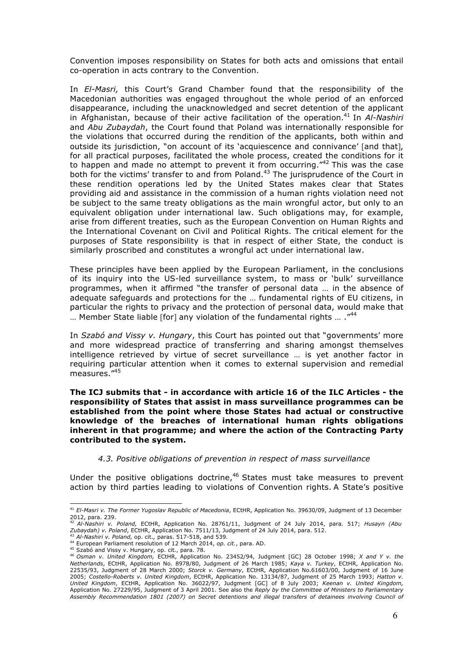Convention imposes responsibility on States for both acts and omissions that entail co-operation in acts contrary to the Convention.

In *El-Masri,* this Court's Grand Chamber found that the responsibility of the Macedonian authorities was engaged throughout the whole period of an enforced disappearance, including the unacknowledged and secret detention of the applicant in Afghanistan, because of their active facilitation of the operation. <sup>41</sup> In *Al-Nashiri* and *Abu Zubaydah*, the Court found that Poland was internationally responsible for the violations that occurred during the rendition of the applicants, both within and outside its jurisdiction, "on account of its 'acquiescence and connivance' [and that], for all practical purposes, facilitated the whole process, created the conditions for it to happen and made no attempt to prevent it from occurring."<sup>42</sup> This was the case both for the victims' transfer to and from Poland.<sup>43</sup> The jurisprudence of the Court in these rendition operations led by the United States makes clear that States providing aid and assistance in the commission of a human rights violation need not be subject to the same treaty obligations as the main wrongful actor, but only to an equivalent obligation under international law. Such obligations may, for example, arise from different treaties, such as the European Convention on Human Rights and the International Covenant on Civil and Political Rights. The critical element for the purposes of State responsibility is that in respect of either State, the conduct is similarly proscribed and constitutes a wrongful act under international law.

These principles have been applied by the European Parliament, in the conclusions of its inquiry into the US-led surveillance system, to mass or 'bulk' surveillance programmes, when it affirmed "the transfer of personal data … in the absence of adequate safeguards and protections for the … fundamental rights of EU citizens, in particular the rights to privacy and the protection of personal data, would make that ... Member State liable [for] any violation of the fundamental rights ... ."<sup>44</sup>

In *Szabó and Vissy v. Hungary*, this Court has pointed out that "governments' more and more widespread practice of transferring and sharing amongst themselves intelligence retrieved by virtue of secret surveillance … is yet another factor in requiring particular attention when it comes to external supervision and remedial measures."<sup>45</sup>

**The ICJ submits that - in accordance with article 16 of the ILC Articles - the responsibility of States that assist in mass surveillance programmes can be established from the point where those States had actual or constructive knowledge of the breaches of international human rights obligations inherent in that programme; and where the action of the Contracting Party contributed to the system.**

*4.3. Positive obligations of prevention in respect of mass surveillance*

Under the positive obligations doctrine, $46$  States must take measures to prevent action by third parties leading to violations of Convention rights. A State's positive

 <sup>41</sup> *El-Masri v. The Former Yugoslav Republic of Macedonia*, ECtHR, Application No. 39630/09, Judgment of 13 December 2012, para. 239.

<sup>42</sup> *Al-Nashiri v. Poland,* ECtHR, Application No. 28761/11, Judgment of 24 July 2014, para. 517; *Husayn (Abu Zubaydah) v. Poland*, ECtHR, Application No. 7511/13, Judgment of 24 July 2014, para. 512.

<sup>43</sup> *Al-Nashiri v. Poland,* op. cit.*,* paras. 517-518, and 539. <sup>44</sup> European Parliament resolution of 12 March 2014, *op. cit.*, para. AD.

<sup>45</sup> Szabó and Vissy v. Hungary, op. cit., para. 78.

<sup>46</sup> *Osman v. United Kingdom,* ECtHR, Application No. 23452/94, Judgment [GC] 28 October 1998; *X and Y v. the Netherlands*, ECtHR, Application No. 8978/80, Judgment of 26 March 1985; *Kaya v. Turkey*, ECtHR, Application No. 22535/93, Judgment of 28 March 2000; *Storck v. Germany*, ECtHR, Application No.61603/00, Judgment of 16 June 2005; *Costello-Roberts v. United Kingdom*, ECtHR, Application No. 13134/87, Judgment of 25 March 1993; *Hatton v. United Kingdom*, ECtHR, Application No. 36022/97, Judgment [GC] of 8 July 2003; *Keenan v. United Kingdom,* Application No. 27229/95, Judgment of 3 April 2001. See also the *Reply by the Committee of Ministers to Parliamentary Assembly Recommendation 1801 (2007) on Secret detentions and illegal transfers of detainees involving Council of*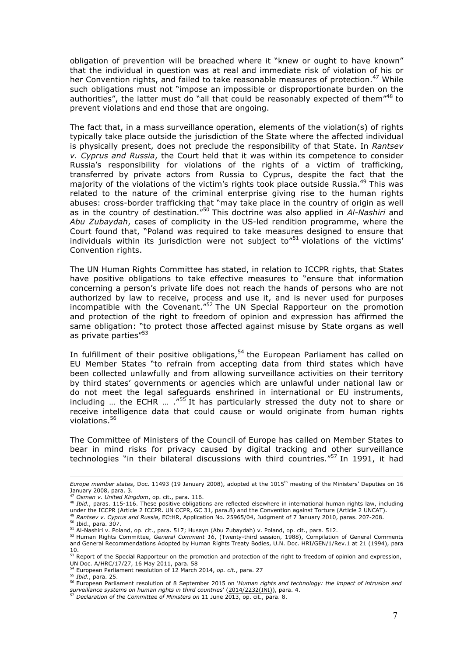obligation of prevention will be breached where it "knew or ought to have known" that the individual in question was at real and immediate risk of violation of his or her Convention rights, and failed to take reasonable measures of protection.<sup>47</sup> While such obligations must not "impose an impossible or disproportionate burden on the authorities", the latter must do "all that could be reasonably expected of them<sup>"48</sup> to prevent violations and end those that are ongoing.

The fact that, in a mass surveillance operation, elements of the violation(s) of rights typically take place outside the jurisdiction of the State where the affected individual is physically present, does not preclude the responsibility of that State. In *Rantsev v. Cyprus and Russia*, the Court held that it was within its competence to consider Russia's responsibility for violations of the rights of a victim of trafficking, transferred by private actors from Russia to Cyprus, despite the fact that the majority of the violations of the victim's rights took place outside Russia.<sup>49</sup> This was related to the nature of the criminal enterprise giving rise to the human rights abuses: cross-border trafficking that "may take place in the country of origin as well as in the country of destination."<sup>50</sup> This doctrine was also applied in *Al-Nashiri* and *Abu Zubaydah*, cases of complicity in the US-led rendition programme, where the Court found that, "Poland was required to take measures designed to ensure that individuals within its jurisdiction were not subject to<sup>"51</sup> violations of the victims' Convention rights.

The UN Human Rights Committee has stated, in relation to ICCPR rights, that States have positive obligations to take effective measures to "ensure that information concerning a person's private life does not reach the hands of persons who are not authorized by law to receive, process and use it, and is never used for purposes incompatible with the Covenant."<sup>52</sup> The UN Special Rapporteur on the promotion and protection of the right to freedom of opinion and expression has affirmed the same obligation: "to protect those affected against misuse by State organs as well as private parties"<sup>53</sup>

In fulfillment of their positive obligations,  $54$  the European Parliament has called on EU Member States "to refrain from accepting data from third states which have been collected unlawfully and from allowing surveillance activities on their territory by third states' governments or agencies which are unlawful under national law or do not meet the legal safeguards enshrined in international or EU instruments, including … the ECHR … ."<sup>55</sup> It has particularly stressed the duty not to share or receive intelligence data that could cause or would originate from human rights violations. 56

The Committee of Ministers of the Council of Europe has called on Member States to bear in mind risks for privacy caused by digital tracking and other surveillance technologies "in their bilateral discussions with third countries."57 In 1991, it had

 $\overline{a}$ 

*Europe member states*, Doc. 11493 (19 January 2008), adopted at the 1015th meeting of the Ministers' Deputies on 16 January 2008, para. 3.<br><sup>47</sup> Osman v. United Kingdom, op. cit., para. 116.

<sup>&</sup>lt;sup>47</sup> *Osman v. United Kingdom*, op. cit., para. 116.<br><sup>48</sup> *Ibid.*, paras. 115-116. These positive obligations are reflected elsewhere in international human rights law, including under the ICCPR (Article 2 ICCPR. UN CCPR, GC 31, para.8) and the Convention against Torture (Article 2 UNCAT).

<sup>49</sup> *Rantsev v. Cyprus and Russia*, ECtHR, Application No. 25965/04, Judgment of 7 January 2010, paras. 207-208.

<sup>50</sup> Ibid., para. 307.

<sup>51</sup> Al-Nashiri v. Poland, op. cit., para. 517; Husayn (Abu Zubaydah) v. Poland, op. cit., para. 512.

<sup>52</sup> Human Rights Committee, *General Comment 16*, (Twenty-third session, 1988), Compilation of General Comments and General Recommendations Adopted by Human Rights Treaty Bodies, U.N. Doc. HRI/GEN/1/Rev.1 at 21 (1994), para 10.<br><sup>53</sup> Report of the Special Rapporteur on the promotion and protection of the right to freedom of opinion and expression,

UN Doc. A/HRC/17/27, 16 May 2011, para. 58 Fig. 2011, particle 2011, para. 58<br>
<sup>54</sup> European Parliament resolution of 12 March 2014, *op. cit.*, para. 27

<sup>55</sup> *Ibid.*, para. 25.

<sup>56</sup> European Parliament resolution of 8 September 2015 on '*Human rights and technology: the impact of intrusion and surveillance systems on human rights in third countries*' (2014/2232(INI)), para. 4. <sup>57</sup> *Declaration of the Committee of Ministers on* 11 June 2013, op. cit., para. 8.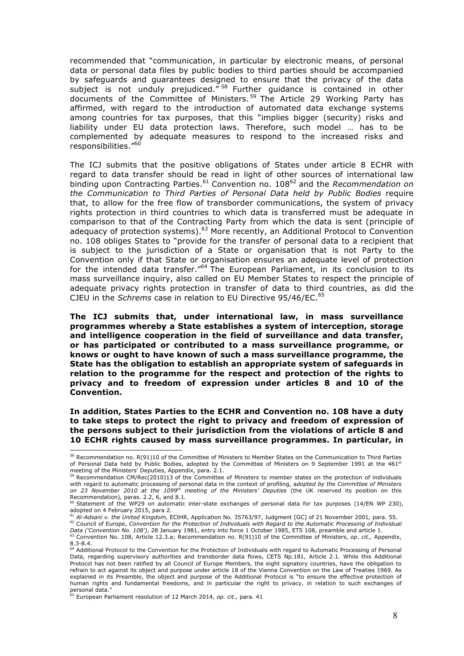recommended that "communication, in particular by electronic means, of personal data or personal data files by public bodies to third parties should be accompanied by safeguards and guarantees designed to ensure that the privacy of the data subject is not unduly prejudiced."<sup>58</sup> Further guidance is contained in other documents of the Committee of Ministers. <sup>59</sup> The Article 29 Working Party has affirmed, with regard to the introduction of automated data exchange systems among countries for tax purposes, that this "implies bigger (security) risks and liability under EU data protection laws. Therefore, such model … has to be complemented by adequate measures to respond to the increased risks and responsibilities."<sup>60</sup>

The ICJ submits that the positive obligations of States under article 8 ECHR with regard to data transfer should be read in light of other sources of international law binding upon Contracting Parties.<sup>61</sup> Convention no. 108<sup>62</sup> and the *Recommendation on the Communication to Third Parties of Personal Data held by Public Bodies* require that, to allow for the free flow of transborder communications, the system of privacy rights protection in third countries to which data is transferred must be adequate in comparison to that of the Contracting Party from which the data is sent (principle of adequacy of protection systems).<sup>63</sup> More recently, an Additional Protocol to Convention no. 108 obliges States to "provide for the transfer of personal data to a recipient that is subject to the jurisdiction of a State or organisation that is not Party to the Convention only if that State or organisation ensures an adequate level of protection for the intended data transfer.<sup>"64</sup> The European Parliament, in its conclusion to its mass surveillance inquiry, also called on EU Member States to respect the principle of adequate privacy rights protection in transfer of data to third countries, as did the CJEU in the *Schrems* case in relation to EU Directive 95/46/EC. 65

**The ICJ submits that, under international law, in mass surveillance programmes whereby a State establishes a system of interception, storage and intelligence cooperation in the field of surveillance and data transfer, or has participated or contributed to a mass surveillance programme, or knows or ought to have known of such a mass surveillance programme, the State has the obligation to establish an appropriate system of safeguards in relation to the programme for the respect and protection of the rights to privacy and to freedom of expression under articles 8 and 10 of the Convention.**

**In addition, States Parties to the ECHR and Convention no. 108 have a duty to take steps to protect the right to privacy and freedom of expression of the persons subject to their jurisdiction from the violations of article 8 and 10 ECHR rights caused by mass surveillance programmes. In particular, in** 

 <sup>58</sup> Recommendation no. R(91)10 of the Committee of Ministers to Member States on the Communication to Third Parties of Personal Data held by Public Bodies, adopted by the Committee of Ministers on 9 September 1991 at the 461<sup>st</sup> meeting of the Ministers' Deputies, Appendix, para. 2.1.

 $59$  Recommendation CM/Rec(2010)13 of the Committee of Ministers to member states on the protection of individuals with regard to automatic processing of personal data in the context of profiling, a*dopted by the Committee of Ministers*<br>*on 23 November 2010 at the 1099<sup>th</sup> meeting of the Ministers' Deputies* (the UK reserved its positi Recommendation)*,* paras. 2.2, 6, and 8.1.

Statement of the WP29 on automatic inter-state exchanges of personal data for tax purposes (14/EN WP 230), adopted on 4 February 2015, para 2.

<sup>61</sup> Al-Adsani v. the United Kingdom, ECtHR, Application No. 35763/97, Judgment [GC] of 21 November 2001, para. 55.<br><sup>62</sup> Council of Europe, Convention for the Protection of Individuals with Regard to the Automatic Processing *Data ('Convention No. 108')*, 28 January 1981, entry into force 1 October 1985, ETS 108, preamble and article 1.

<sup>63</sup> Convention No. 108, Article 12.3.a; Recommendation no. R(91)10 of the Committee of Ministers, *op. cit.,* Appendix,

<sup>8.3-8.4.&</sup>lt;br><sup>64</sup> Additional Protocol to the Convention for the Protection of Individuals with regard to Automatic Processing of Personal Data, regarding supervisory authorities and transborder data flows, CETS Np.181, Article 2.1. While this Additional Protocol has not been ratified by all Council of Europe Members, the eight signatory countries, have the obligation to refrain to act against its object and purpose under article 18 of the Vienna Convention on the Law of Treaties 1969. As explained in its Preamble, the object and purpose of the Additional Protocol is "to ensure the effective protection of human rights and fundamental freedoms, and in particular the right to privacy, in relation to such exchanges of

personal data." <sup>65</sup> European Parliament resolution of 12 March 2014, *op. cit.,* para. 41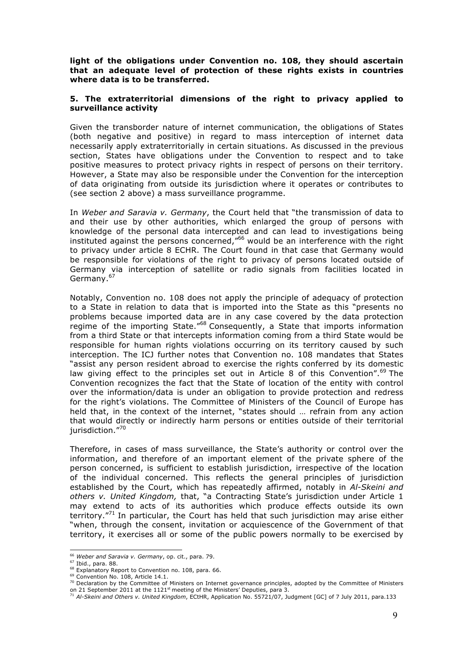**light of the obligations under Convention no. 108, they should ascertain that an adequate level of protection of these rights exists in countries where data is to be transferred.** 

#### **5. The extraterritorial dimensions of the right to privacy applied to surveillance activity**

Given the transborder nature of internet communication, the obligations of States (both negative and positive) in regard to mass interception of internet data necessarily apply extraterritorially in certain situations. As discussed in the previous section, States have obligations under the Convention to respect and to take positive measures to protect privacy rights in respect of persons on their territory. However, a State may also be responsible under the Convention for the interception of data originating from outside its jurisdiction where it operates or contributes to (see section 2 above) a mass surveillance programme.

In *Weber and Saravia v. Germany*, the Court held that "the transmission of data to and their use by other authorities, which enlarged the group of persons with knowledge of the personal data intercepted and can lead to investigations being instituted against the persons concerned,"<sup>66</sup> would be an interference with the right to privacy under article 8 ECHR. The Court found in that case that Germany would be responsible for violations of the right to privacy of persons located outside of Germany via interception of satellite or radio signals from facilities located in Germany.<sup>67</sup>

Notably, Convention no. 108 does not apply the principle of adequacy of protection to a State in relation to data that is imported into the State as this "presents no problems because imported data are in any case covered by the data protection regime of the importing State.<sup>"68</sup> Consequently, a State that imports information from a third State or that intercepts information coming from a third State would be responsible for human rights violations occurring on its territory caused by such interception. The ICJ further notes that Convention no. 108 mandates that States "assist any person resident abroad to exercise the rights conferred by its domestic law giving effect to the principles set out in Article 8 of this Convention".<sup>69</sup> The Convention recognizes the fact that the State of location of the entity with control over the information/data is under an obligation to provide protection and redress for the right's violations. The Committee of Ministers of the Council of Europe has held that, in the context of the internet, "states should … refrain from any action that would directly or indirectly harm persons or entities outside of their territorial jurisdiction."70

Therefore, in cases of mass surveillance, the State's authority or control over the information, and therefore of an important element of the private sphere of the person concerned, is sufficient to establish jurisdiction, irrespective of the location of the individual concerned. This reflects the general principles of jurisdiction established by the Court, which has repeatedly affirmed, notably in *Al-Skeini and others v. United Kingdom,* that, "a Contracting State's jurisdiction under Article 1 may extend to acts of its authorities which produce effects outside its own territory. $171$  In particular, the Court has held that such jurisdiction may arise either "when, through the consent, invitation or acquiescence of the Government of that territory, it exercises all or some of the public powers normally to be exercised by

 <sup>66</sup> *Weber and Saravia v. Germany*, op. cit., para. 79.

<sup>67</sup> Ibid., para. 88.

<sup>68</sup> Explanatory Report to Convention no. 108, para. 66.

<sup>&</sup>lt;sup>69</sup> Convention No. 108, Article 14.1.

<sup>70</sup> Declaration by the Committee of Ministers on Internet governance principles, adopted by the Committee of Ministers on 21 September 2011 at the 1121<sup>st</sup> meeting of the Ministers' Deputies, para 3.

<sup>71</sup> *Al-Skeini and Others v. United Kingdom*, ECtHR, Application No. 55721/07, Judgment [GC] of 7 July 2011, para.133